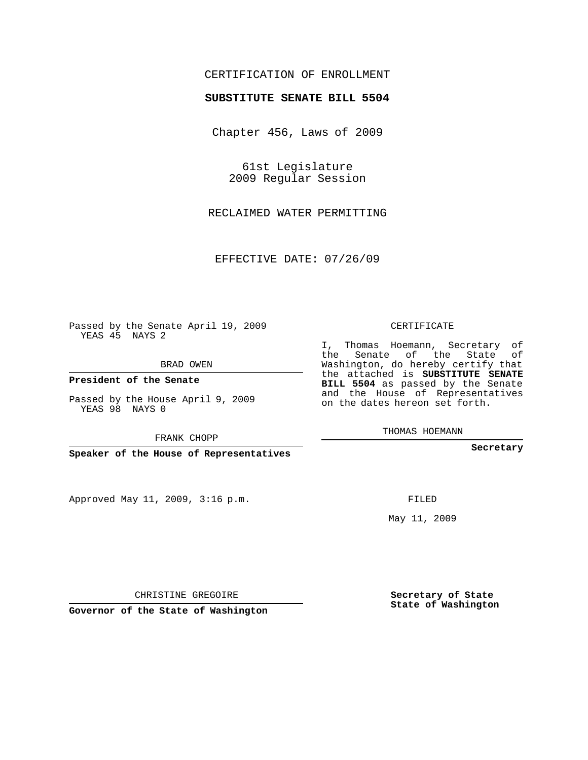## CERTIFICATION OF ENROLLMENT

#### **SUBSTITUTE SENATE BILL 5504**

Chapter 456, Laws of 2009

61st Legislature 2009 Regular Session

RECLAIMED WATER PERMITTING

EFFECTIVE DATE: 07/26/09

Passed by the Senate April 19, 2009 YEAS 45 NAYS 2

BRAD OWEN

**President of the Senate**

Passed by the House April 9, 2009 YEAS 98 NAYS 0

FRANK CHOPP

**Speaker of the House of Representatives**

Approved May 11, 2009, 3:16 p.m.

CERTIFICATE

I, Thomas Hoemann, Secretary of the Senate of the State of Washington, do hereby certify that the attached is **SUBSTITUTE SENATE BILL 5504** as passed by the Senate and the House of Representatives on the dates hereon set forth.

THOMAS HOEMANN

**Secretary**

FILED

May 11, 2009

**Secretary of State State of Washington**

CHRISTINE GREGOIRE

**Governor of the State of Washington**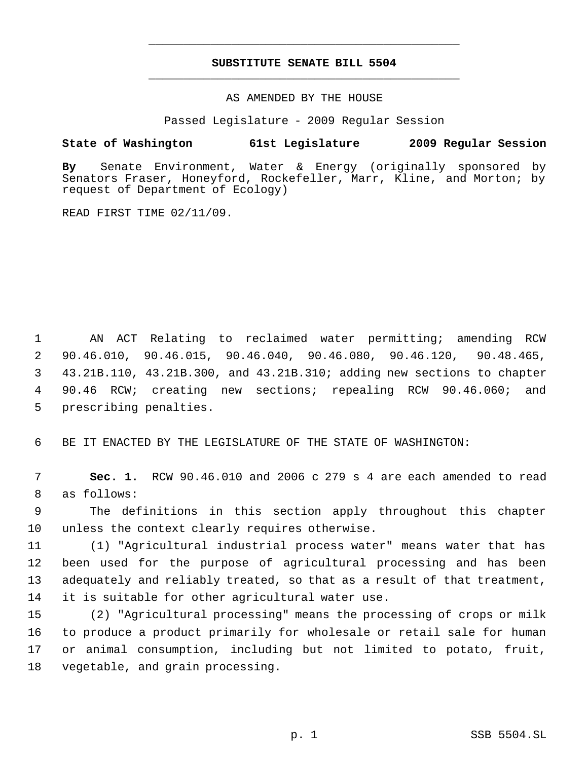# **SUBSTITUTE SENATE BILL 5504** \_\_\_\_\_\_\_\_\_\_\_\_\_\_\_\_\_\_\_\_\_\_\_\_\_\_\_\_\_\_\_\_\_\_\_\_\_\_\_\_\_\_\_\_\_

\_\_\_\_\_\_\_\_\_\_\_\_\_\_\_\_\_\_\_\_\_\_\_\_\_\_\_\_\_\_\_\_\_\_\_\_\_\_\_\_\_\_\_\_\_

AS AMENDED BY THE HOUSE

Passed Legislature - 2009 Regular Session

### **State of Washington 61st Legislature 2009 Regular Session**

**By** Senate Environment, Water & Energy (originally sponsored by Senators Fraser, Honeyford, Rockefeller, Marr, Kline, and Morton; by request of Department of Ecology)

READ FIRST TIME 02/11/09.

 AN ACT Relating to reclaimed water permitting; amending RCW 90.46.010, 90.46.015, 90.46.040, 90.46.080, 90.46.120, 90.48.465, 43.21B.110, 43.21B.300, and 43.21B.310; adding new sections to chapter 90.46 RCW; creating new sections; repealing RCW 90.46.060; and prescribing penalties.

BE IT ENACTED BY THE LEGISLATURE OF THE STATE OF WASHINGTON:

 **Sec. 1.** RCW 90.46.010 and 2006 c 279 s 4 are each amended to read as follows:

 The definitions in this section apply throughout this chapter unless the context clearly requires otherwise.

 (1) "Agricultural industrial process water" means water that has been used for the purpose of agricultural processing and has been adequately and reliably treated, so that as a result of that treatment, it is suitable for other agricultural water use.

 (2) "Agricultural processing" means the processing of crops or milk to produce a product primarily for wholesale or retail sale for human or animal consumption, including but not limited to potato, fruit, vegetable, and grain processing.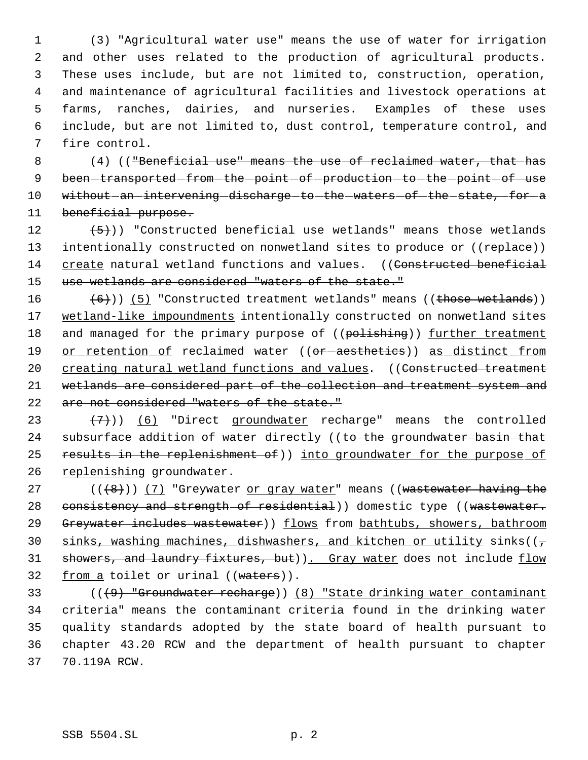(3) "Agricultural water use" means the use of water for irrigation and other uses related to the production of agricultural products. These uses include, but are not limited to, construction, operation, and maintenance of agricultural facilities and livestock operations at farms, ranches, dairies, and nurseries. Examples of these uses include, but are not limited to, dust control, temperature control, and fire control.

8 (4) (("Beneficial use" means the use of reclaimed water, that has 9 been-transported-from-the-point-of-production-to-the-point-of-use 10 without - an intervening discharge - to - the - waters - of - the - state, - for - a 11 beneficial purpose.

12  $(5)$ ) "Constructed beneficial use wetlands" means those wetlands 13 intentionally constructed on nonwetland sites to produce or ((replace)) 14 create natural wetland functions and values. ((Constructed beneficial 15 use wetlands are considered "waters of the state."

16  $(6)$ )) (5) "Constructed treatment wetlands" means ((those wetlands)) 17 wetland-like impoundments intentionally constructed on nonwetland sites 18 and managed for the primary purpose of ((polishing)) further treatment 19 or retention of reclaimed water ((or-aesthetics)) as distinct from 20 creating natural wetland functions and values. ((Constructed treatment 21 wetlands are considered part of the collection and treatment system and 22 are not considered "waters of the state."

23  $(7)$ ) (6) "Direct groundwater recharge" means the controlled 24 subsurface addition of water directly ((to the groundwater basin-that 25 results in the replenishment of)) into groundwater for the purpose of 26 replenishing groundwater.

27 (((8)) (7) "Greywater or gray water" means ((wastewater having the 28 consistency and strength of residential)) domestic type ((wastewater. 29 Greywater includes wastewater) flows from bathtubs, showers, bathroom 30 sinks, washing machines, dishwashers, and kitchen or utility sinks( $(\tau)$ 31 showers, and laundry fixtures, but)). Gray water does not include flow 32 from a toilet or urinal ((waters)).

 (((9) "Groundwater recharge)) (8) "State drinking water contaminant criteria" means the contaminant criteria found in the drinking water quality standards adopted by the state board of health pursuant to chapter 43.20 RCW and the department of health pursuant to chapter 70.119A RCW.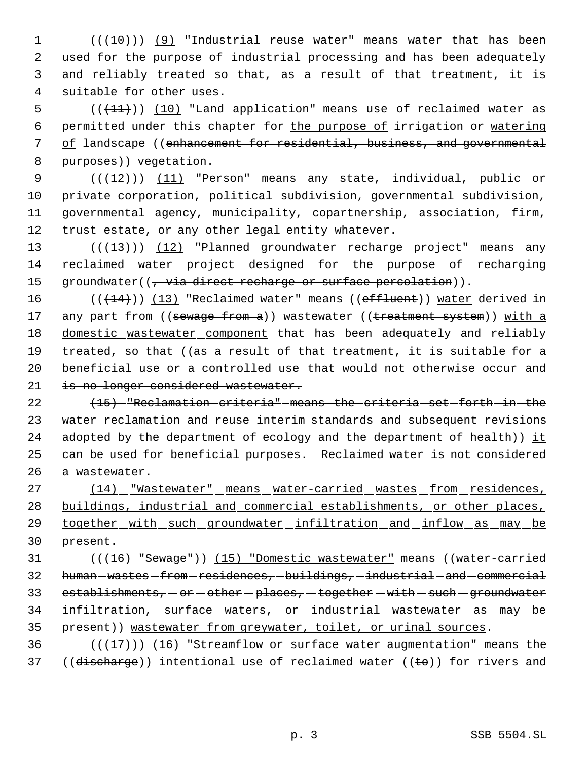$((+10))$  (9) "Industrial reuse water" means water that has been used for the purpose of industrial processing and has been adequately and reliably treated so that, as a result of that treatment, it is suitable for other uses.

 $((+11))$   $(10)$  "Land application" means use of reclaimed water as permitted under this chapter for the purpose of irrigation or watering of landscape ((enhancement for residential, business, and governmental 8 purposes) vegetation.

9 (( $(12)$ )) (11) "Person" means any state, individual, public or private corporation, political subdivision, governmental subdivision, governmental agency, municipality, copartnership, association, firm, trust estate, or any other legal entity whatever.

13 (((+13))) (12) "Planned groundwater recharge project" means any 14 reclaimed water project designed for the purpose of recharging 15 groundwater( $(\frac{1}{t} - \frac{1}{t})$  direct recharge or surface percolation)).

16  $((+14))$   $(13)$  "Reclaimed water" means ((effluent)) water derived in 17 any part from ((sewage from a)) wastewater ((treatment system)) with a 18 domestic wastewater component that has been adequately and reliably 19 treated, so that ((as a result of that treatment, it is suitable for a 20 beneficial use or a controlled use that would not otherwise occur and 21 is no longer considered wastewater.

 $(15)$  -"Reclamation criteria" means the criteria set forth in the water reclamation and reuse interim standards and subsequent revisions 24 adopted by the department of ecology and the department of health)) it can be used for beneficial purposes. Reclaimed water is not considered a wastewater.

27 (14) "Wastewater" means water-carried wastes from residences, 28 buildings, industrial and commercial establishments, or other places, 29 together with such groundwater infiltration and inflow as may be 30 present.

31 (( $(16)$  "Sewage")) (15) "Domestic wastewater" means ((water-carried 32 human-wastes-from-residences, -buildings, -industrial -and-commercial 33 establishments,  $-$  or  $-$  other  $-$  places,  $-$  together  $-$  with  $-$  such  $-$  groundwater 34 infiltration, - surface - waters, - or - industrial - wastewater - as - may - be 35 present)) wastewater from greywater, toilet, or urinal sources.

36  $((+17))$  (16) "Streamflow or surface water augmentation" means the 37 ((discharge)) intentional use of reclaimed water (( $\pm$ o)) for rivers and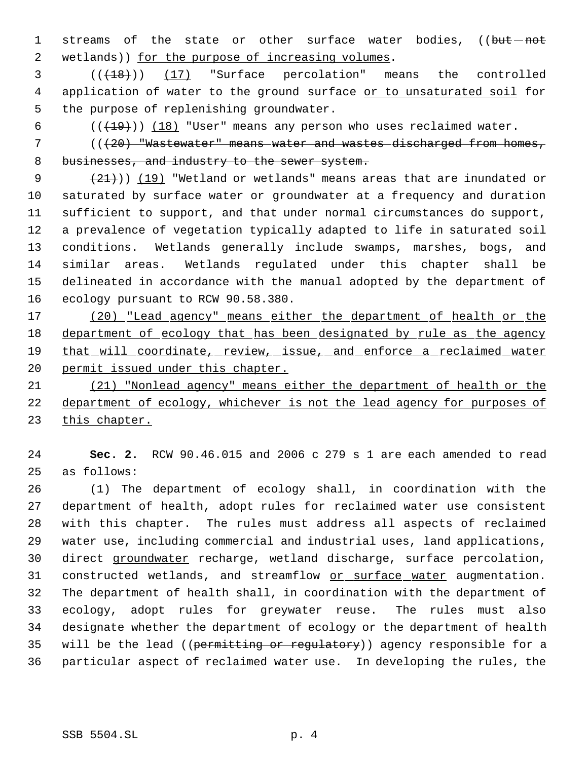1 streams of the state or other surface water bodies, ((but-not 2 wetlands)) for the purpose of increasing volumes.

  $((+18))$   $(17)$  "Surface percolation" means the controlled 4 application of water to the ground surface or to unsaturated soil for the purpose of replenishing groundwater.

6  $((+19))$   $(18)$  "User" means any person who uses reclaimed water.

7 (( $(20)$  "Wastewater" means water and wastes discharged from homes, 8 businesses, and industry to the sewer system.

 $(21)$ ) (19) "Wetland or wetlands" means areas that are inundated or saturated by surface water or groundwater at a frequency and duration sufficient to support, and that under normal circumstances do support, a prevalence of vegetation typically adapted to life in saturated soil conditions. Wetlands generally include swamps, marshes, bogs, and similar areas. Wetlands regulated under this chapter shall be delineated in accordance with the manual adopted by the department of ecology pursuant to RCW 90.58.380.

 (20) "Lead agency" means either the department of health or the 18 department of ecology that has been designated by rule as the agency 19 that will coordinate, review, issue, and enforce a reclaimed water 20 permit issued under this chapter.

 (21) "Nonlead agency" means either the department of health or the department of ecology, whichever is not the lead agency for purposes of 23 this chapter.

 **Sec. 2.** RCW 90.46.015 and 2006 c 279 s 1 are each amended to read as follows:

 (1) The department of ecology shall, in coordination with the department of health, adopt rules for reclaimed water use consistent with this chapter. The rules must address all aspects of reclaimed water use, including commercial and industrial uses, land applications, direct groundwater recharge, wetland discharge, surface percolation, 31 constructed wetlands, and streamflow or surface water augmentation. The department of health shall, in coordination with the department of ecology, adopt rules for greywater reuse. The rules must also designate whether the department of ecology or the department of health 35 will be the lead ((permitting or regulatory)) agency responsible for a particular aspect of reclaimed water use. In developing the rules, the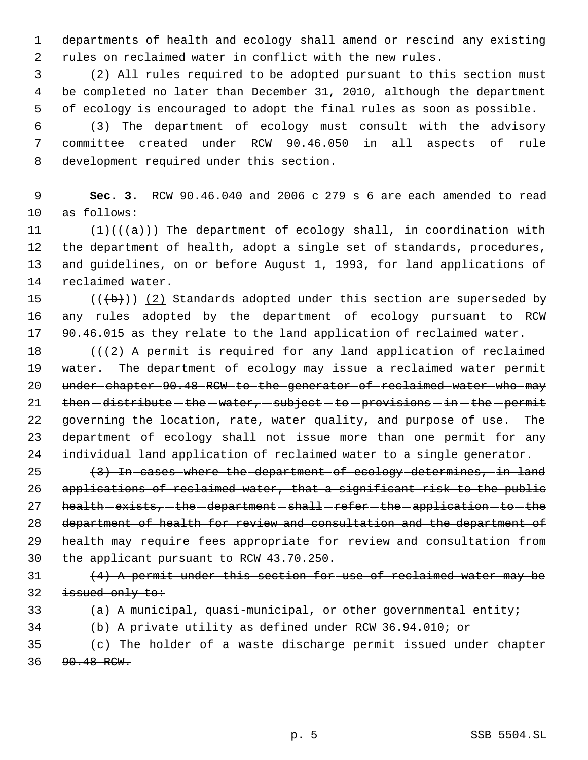departments of health and ecology shall amend or rescind any existing rules on reclaimed water in conflict with the new rules.

 (2) All rules required to be adopted pursuant to this section must be completed no later than December 31, 2010, although the department of ecology is encouraged to adopt the final rules as soon as possible.

 (3) The department of ecology must consult with the advisory committee created under RCW 90.46.050 in all aspects of rule development required under this section.

 **Sec. 3.** RCW 90.46.040 and 2006 c 279 s 6 are each amended to read as follows:

11 (1)(( $\frac{1}{a}$ )) The department of ecology shall, in coordination with the department of health, adopt a single set of standards, procedures, and guidelines, on or before August 1, 1993, for land applications of reclaimed water.

15  $((+b))$   $(2)$  Standards adopted under this section are superseded by any rules adopted by the department of ecology pursuant to RCW 90.46.015 as they relate to the land application of reclaimed water.

18  $((2)$  A permit is required for any land application of reclaimed 19 water. The department of ecology may issue a reclaimed water permit 20 under chapter 90.48 RCW to the generator of reclaimed water who may  $then - distribute - the - water, - subject - to - provisions - in - the - permit$  governing the location, rate, water quality, and purpose of use. The 23 department-of-ecology-shall-not-issue-more-than-one-permit-for-any 24 individual land application of reclaimed water to a single generator.

25 (3) In cases where the department of ecology determines, in land applications of reclaimed water, that a significant risk to the public 27 health - exists, - the -department - shall - refer - the - application - to - the department of health for review and consultation and the department of health may require fees appropriate for review and consultation from the applicant pursuant to RCW 43.70.250.

 (4) A permit under this section for use of reclaimed water may be 32 issued only to:

```
33 (a) A municipal, quasi-municipal, or other governmental entity;
```
(b) A private utility as defined under RCW 36.94.010; or

 (c) The holder of a waste discharge permit issued under chapter 90.48 RCW.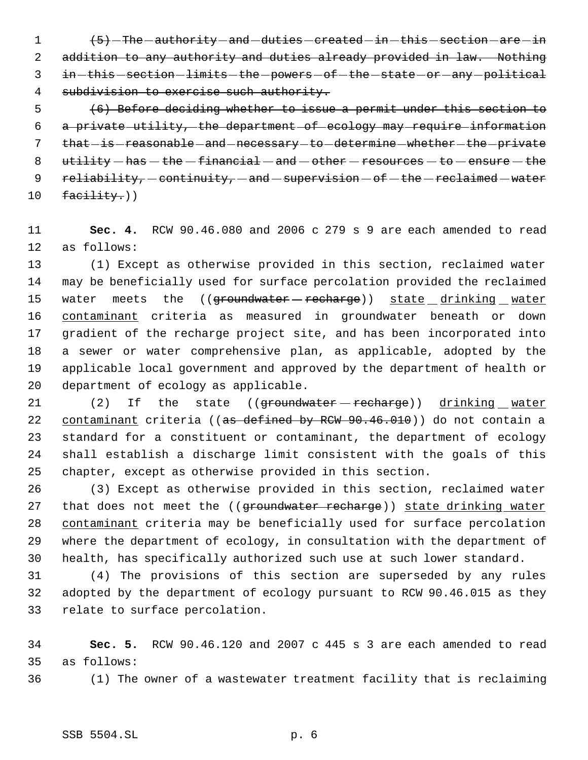$\left(5\right)$  -The -authority -and -duties -created -in -this -section -are -in addition to any authority and duties already provided in law. Nothing 3 in - this - section - limits - the - powers - of - the - state - or - any - political 4 subdivision to exercise such authority.

 (6) Before deciding whether to issue a permit under this section to a private utility, the department of ecology may require information 7 that is reasonable and necessary to determine whether the private  $u$ tility  $-$  has  $-$  the  $-$  financial  $-$  and  $-$  other  $-$  resources  $-$  to  $-$  ensure  $-$  the  $reliability - continuity - and - supervision - of - the - recalained - water$ facility.)

 **Sec. 4.** RCW 90.46.080 and 2006 c 279 s 9 are each amended to read as follows:

 (1) Except as otherwise provided in this section, reclaimed water may be beneficially used for surface percolation provided the reclaimed 15 water meets the ((groundwater - recharge)) state drinking water 16 contaminant criteria as measured in groundwater beneath or down gradient of the recharge project site, and has been incorporated into a sewer or water comprehensive plan, as applicable, adopted by the applicable local government and approved by the department of health or department of ecology as applicable.

21 (2) If the state ((groundwater recharge)) drinking water 22 contaminant criteria ((as defined by RCW 90.46.010)) do not contain a standard for a constituent or contaminant, the department of ecology shall establish a discharge limit consistent with the goals of this chapter, except as otherwise provided in this section.

 (3) Except as otherwise provided in this section, reclaimed water 27 that does not meet the ((groundwater recharge)) state drinking water contaminant criteria may be beneficially used for surface percolation where the department of ecology, in consultation with the department of health, has specifically authorized such use at such lower standard.

 (4) The provisions of this section are superseded by any rules adopted by the department of ecology pursuant to RCW 90.46.015 as they relate to surface percolation.

 **Sec. 5.** RCW 90.46.120 and 2007 c 445 s 3 are each amended to read as follows:

(1) The owner of a wastewater treatment facility that is reclaiming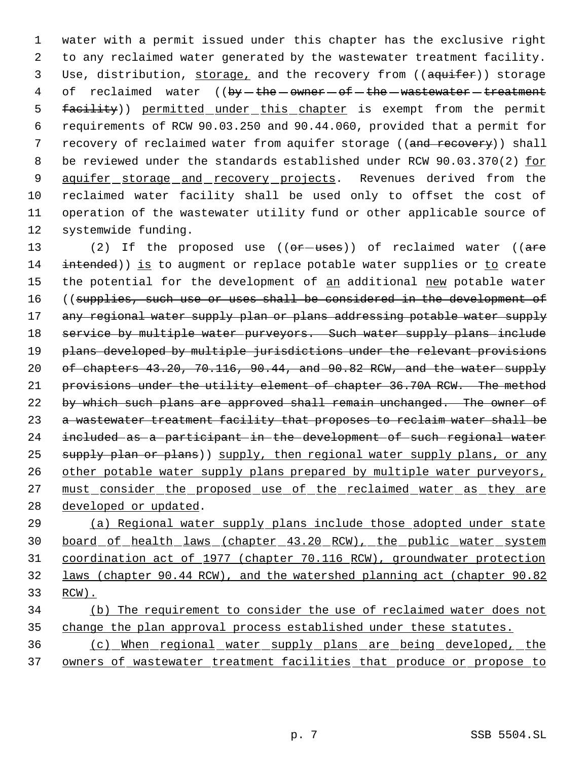1 water with a permit issued under this chapter has the exclusive right 2 to any reclaimed water generated by the wastewater treatment facility. 3 Use, distribution, storage, and the recovery from ((aquifer)) storage 4 of reclaimed water ((by-the-owner-of-the-wastewater-treatment 5 facility)) permitted under this chapter is exempt from the permit 6 requirements of RCW 90.03.250 and 90.44.060, provided that a permit for 7 recovery of reclaimed water from aquifer storage ((and recovery)) shall 8 be reviewed under the standards established under RCW 90.03.370(2) for 9 aquifer storage and recovery projects. Revenues derived from the 10 reclaimed water facility shall be used only to offset the cost of 11 operation of the wastewater utility fund or other applicable source of 12 systemwide funding.

13 (2) If the proposed use ((or uses)) of reclaimed water ((are 14 intended)) is to augment or replace potable water supplies or to create 15 the potential for the development of an additional new potable water 16 ((supplies, such use or uses shall be considered in the development of 17 any regional water supply plan or plans addressing potable water supply 18 service by multiple water purveyors. Such water supply plans include 19 plans developed by multiple jurisdictions under the relevant provisions 20 of chapters 43.20, 70.116, 90.44, and 90.82 RCW, and the water supply 21 provisions under the utility element of chapter 36.70A RCW. The method 22 by which such plans are approved shall remain unchanged. The owner of 23 a wastewater treatment facility that proposes to reclaim water shall be 24 included as a participant in the development of such regional water 25 supply plan or plans)) supply, then regional water supply plans, or any 26 other potable water supply plans prepared by multiple water purveyors, 27 must consider the proposed use of the reclaimed water as they are 28 developed or updated.

 (a) Regional water supply plans include those adopted under state board of health laws (chapter 43.20 RCW), the public water system coordination act of 1977 (chapter 70.116 RCW), groundwater protection laws (chapter 90.44 RCW), and the watershed planning act (chapter 90.82 33 RCW).

# 34 (b) The requirement to consider the use of reclaimed water does not 35 change the plan approval process established under these statutes.

36 (c) When regional water supply plans are being developed, the 37 owners of wastewater treatment facilities that produce or propose to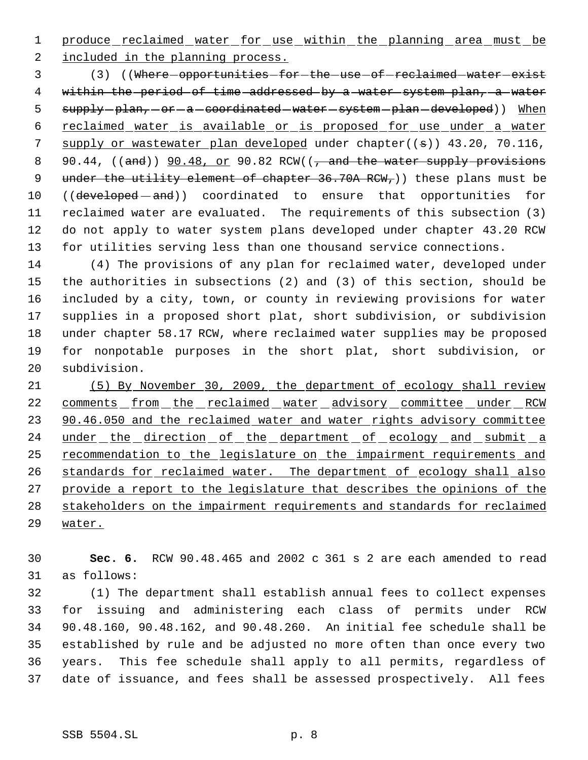1 produce reclaimed water for use within the planning area must be

included in the planning process.

3 (3) ((Where - opportunities - for - the -use - of - reclaimed - water - exist 4 within the period of time addressed by a water system plan, a water 5 supply-plan, -or -a coordinated -water -system -plan -developed)) When reclaimed water is available or is proposed for use under a water 7 supply or wastewater plan developed under chapter((s)) 43.20, 70.116, 8 90.44, ((and))  $90.48$ , or 90.82 RCW((, and the water supply provisions 9 under the utility element of chapter  $36.70A$  RCW<sub>r</sub>)) these plans must be 10 ((developed - and)) coordinated to ensure that opportunities for reclaimed water are evaluated. The requirements of this subsection (3) do not apply to water system plans developed under chapter 43.20 RCW for utilities serving less than one thousand service connections.

 (4) The provisions of any plan for reclaimed water, developed under the authorities in subsections (2) and (3) of this section, should be included by a city, town, or county in reviewing provisions for water supplies in a proposed short plat, short subdivision, or subdivision under chapter 58.17 RCW, where reclaimed water supplies may be proposed for nonpotable purposes in the short plat, short subdivision, or subdivision.

 (5) By November 30, 2009, the department of ecology shall review 22 comments from the reclaimed water advisory committee under RCW 23 90.46.050 and the reclaimed water and water rights advisory committee 24 under the direction of the department of ecology and submit a 25 recommendation to the legislature on the impairment requirements and 26 standards for reclaimed water. The department of ecology shall also provide a report to the legislature that describes the opinions of the stakeholders on the impairment requirements and standards for reclaimed water.

 **Sec. 6.** RCW 90.48.465 and 2002 c 361 s 2 are each amended to read as follows:

 (1) The department shall establish annual fees to collect expenses for issuing and administering each class of permits under RCW 90.48.160, 90.48.162, and 90.48.260. An initial fee schedule shall be established by rule and be adjusted no more often than once every two years. This fee schedule shall apply to all permits, regardless of date of issuance, and fees shall be assessed prospectively. All fees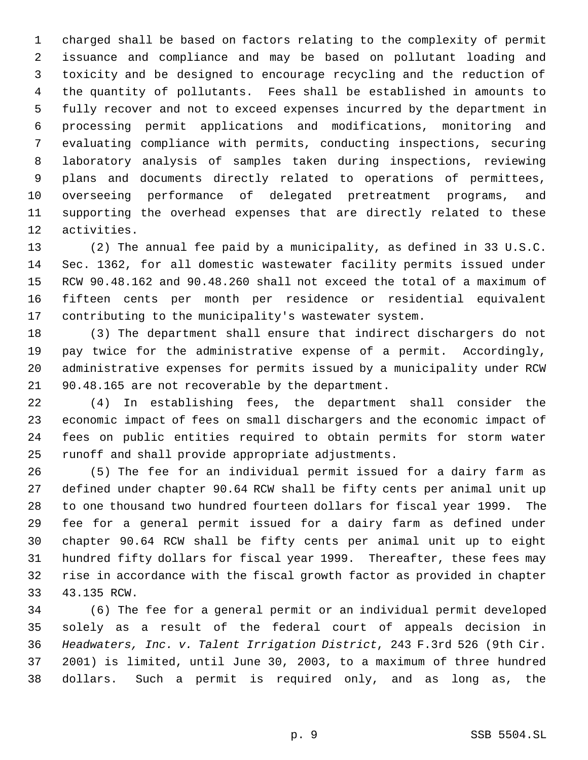charged shall be based on factors relating to the complexity of permit issuance and compliance and may be based on pollutant loading and toxicity and be designed to encourage recycling and the reduction of the quantity of pollutants. Fees shall be established in amounts to fully recover and not to exceed expenses incurred by the department in processing permit applications and modifications, monitoring and evaluating compliance with permits, conducting inspections, securing laboratory analysis of samples taken during inspections, reviewing plans and documents directly related to operations of permittees, overseeing performance of delegated pretreatment programs, and supporting the overhead expenses that are directly related to these activities.

 (2) The annual fee paid by a municipality, as defined in 33 U.S.C. Sec. 1362, for all domestic wastewater facility permits issued under RCW 90.48.162 and 90.48.260 shall not exceed the total of a maximum of fifteen cents per month per residence or residential equivalent contributing to the municipality's wastewater system.

 (3) The department shall ensure that indirect dischargers do not pay twice for the administrative expense of a permit. Accordingly, administrative expenses for permits issued by a municipality under RCW 90.48.165 are not recoverable by the department.

 (4) In establishing fees, the department shall consider the economic impact of fees on small dischargers and the economic impact of fees on public entities required to obtain permits for storm water runoff and shall provide appropriate adjustments.

 (5) The fee for an individual permit issued for a dairy farm as defined under chapter 90.64 RCW shall be fifty cents per animal unit up to one thousand two hundred fourteen dollars for fiscal year 1999. The fee for a general permit issued for a dairy farm as defined under chapter 90.64 RCW shall be fifty cents per animal unit up to eight hundred fifty dollars for fiscal year 1999. Thereafter, these fees may rise in accordance with the fiscal growth factor as provided in chapter 43.135 RCW.

 (6) The fee for a general permit or an individual permit developed solely as a result of the federal court of appeals decision in *Headwaters, Inc. v. Talent Irrigation District*, 243 F.3rd 526 (9th Cir. 2001) is limited, until June 30, 2003, to a maximum of three hundred dollars. Such a permit is required only, and as long as, the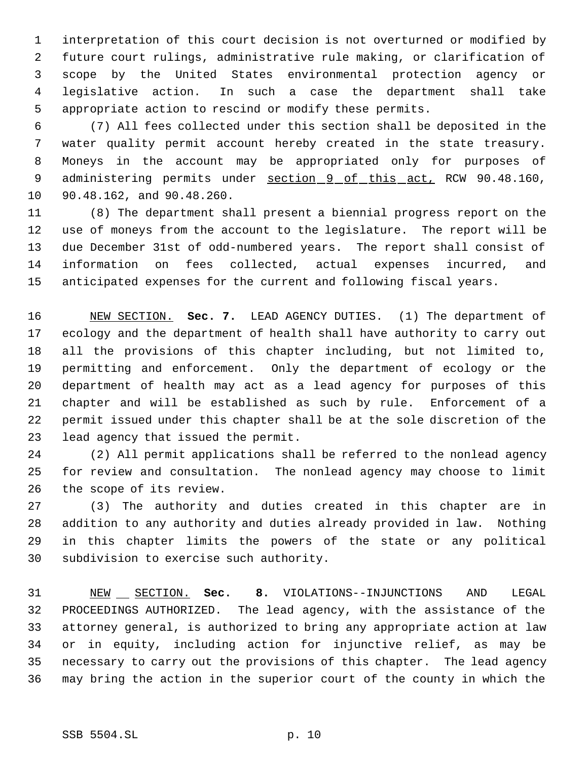interpretation of this court decision is not overturned or modified by future court rulings, administrative rule making, or clarification of scope by the United States environmental protection agency or legislative action. In such a case the department shall take appropriate action to rescind or modify these permits.

 (7) All fees collected under this section shall be deposited in the water quality permit account hereby created in the state treasury. Moneys in the account may be appropriated only for purposes of 9 administering permits under section 9 of this act, RCW 90.48.160, 90.48.162, and 90.48.260.

 (8) The department shall present a biennial progress report on the use of moneys from the account to the legislature. The report will be due December 31st of odd-numbered years. The report shall consist of information on fees collected, actual expenses incurred, and anticipated expenses for the current and following fiscal years.

 NEW SECTION. **Sec. 7.** LEAD AGENCY DUTIES. (1) The department of ecology and the department of health shall have authority to carry out all the provisions of this chapter including, but not limited to, permitting and enforcement. Only the department of ecology or the department of health may act as a lead agency for purposes of this chapter and will be established as such by rule. Enforcement of a permit issued under this chapter shall be at the sole discretion of the lead agency that issued the permit.

 (2) All permit applications shall be referred to the nonlead agency for review and consultation. The nonlead agency may choose to limit the scope of its review.

 (3) The authority and duties created in this chapter are in addition to any authority and duties already provided in law. Nothing in this chapter limits the powers of the state or any political subdivision to exercise such authority.

 NEW SECTION. **Sec. 8.** VIOLATIONS--INJUNCTIONS AND LEGAL PROCEEDINGS AUTHORIZED. The lead agency, with the assistance of the attorney general, is authorized to bring any appropriate action at law or in equity, including action for injunctive relief, as may be necessary to carry out the provisions of this chapter. The lead agency may bring the action in the superior court of the county in which the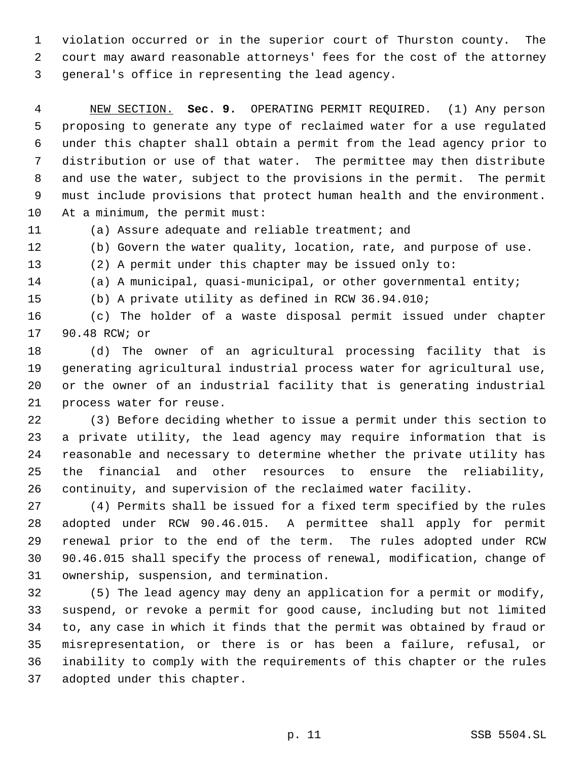violation occurred or in the superior court of Thurston county. The court may award reasonable attorneys' fees for the cost of the attorney general's office in representing the lead agency.

 NEW SECTION. **Sec. 9.** OPERATING PERMIT REQUIRED. (1) Any person proposing to generate any type of reclaimed water for a use regulated under this chapter shall obtain a permit from the lead agency prior to distribution or use of that water. The permittee may then distribute and use the water, subject to the provisions in the permit. The permit must include provisions that protect human health and the environment. At a minimum, the permit must:

(a) Assure adequate and reliable treatment; and

(b) Govern the water quality, location, rate, and purpose of use.

(2) A permit under this chapter may be issued only to:

(a) A municipal, quasi-municipal, or other governmental entity;

(b) A private utility as defined in RCW 36.94.010;

 (c) The holder of a waste disposal permit issued under chapter 90.48 RCW; or

 (d) The owner of an agricultural processing facility that is generating agricultural industrial process water for agricultural use, or the owner of an industrial facility that is generating industrial process water for reuse.

 (3) Before deciding whether to issue a permit under this section to a private utility, the lead agency may require information that is reasonable and necessary to determine whether the private utility has the financial and other resources to ensure the reliability, continuity, and supervision of the reclaimed water facility.

 (4) Permits shall be issued for a fixed term specified by the rules adopted under RCW 90.46.015. A permittee shall apply for permit renewal prior to the end of the term. The rules adopted under RCW 90.46.015 shall specify the process of renewal, modification, change of ownership, suspension, and termination.

 (5) The lead agency may deny an application for a permit or modify, suspend, or revoke a permit for good cause, including but not limited to, any case in which it finds that the permit was obtained by fraud or misrepresentation, or there is or has been a failure, refusal, or inability to comply with the requirements of this chapter or the rules adopted under this chapter.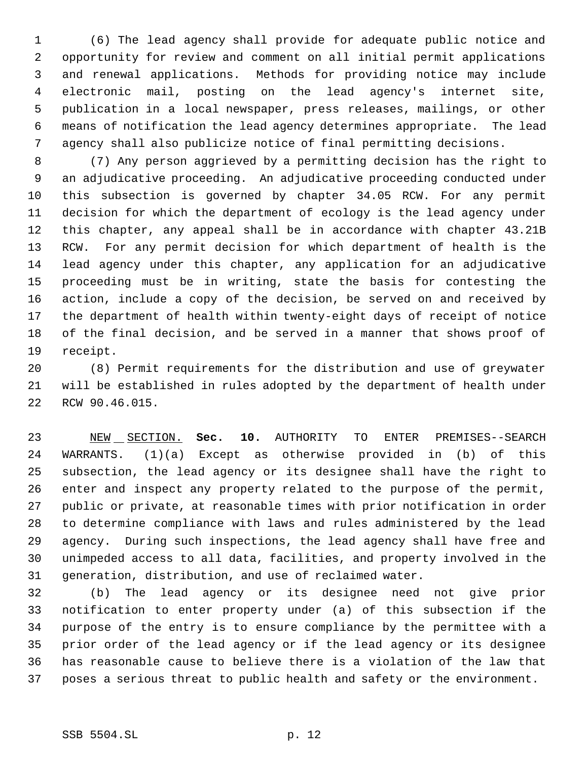(6) The lead agency shall provide for adequate public notice and opportunity for review and comment on all initial permit applications and renewal applications. Methods for providing notice may include electronic mail, posting on the lead agency's internet site, publication in a local newspaper, press releases, mailings, or other means of notification the lead agency determines appropriate. The lead agency shall also publicize notice of final permitting decisions.

 (7) Any person aggrieved by a permitting decision has the right to an adjudicative proceeding. An adjudicative proceeding conducted under this subsection is governed by chapter 34.05 RCW. For any permit decision for which the department of ecology is the lead agency under this chapter, any appeal shall be in accordance with chapter 43.21B RCW. For any permit decision for which department of health is the lead agency under this chapter, any application for an adjudicative proceeding must be in writing, state the basis for contesting the action, include a copy of the decision, be served on and received by the department of health within twenty-eight days of receipt of notice of the final decision, and be served in a manner that shows proof of receipt.

 (8) Permit requirements for the distribution and use of greywater will be established in rules adopted by the department of health under RCW 90.46.015.

 NEW SECTION. **Sec. 10.** AUTHORITY TO ENTER PREMISES--SEARCH WARRANTS. (1)(a) Except as otherwise provided in (b) of this subsection, the lead agency or its designee shall have the right to enter and inspect any property related to the purpose of the permit, public or private, at reasonable times with prior notification in order to determine compliance with laws and rules administered by the lead agency. During such inspections, the lead agency shall have free and unimpeded access to all data, facilities, and property involved in the generation, distribution, and use of reclaimed water.

 (b) The lead agency or its designee need not give prior notification to enter property under (a) of this subsection if the purpose of the entry is to ensure compliance by the permittee with a prior order of the lead agency or if the lead agency or its designee has reasonable cause to believe there is a violation of the law that poses a serious threat to public health and safety or the environment.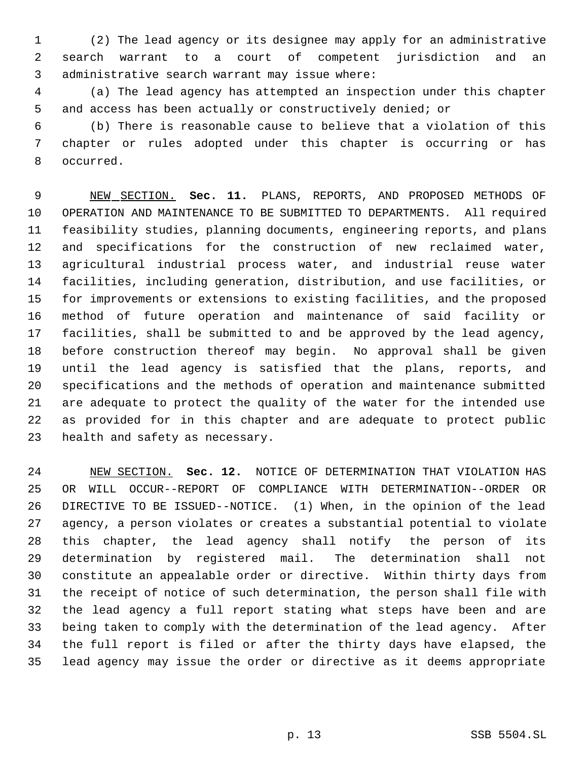(2) The lead agency or its designee may apply for an administrative search warrant to a court of competent jurisdiction and an administrative search warrant may issue where:

 (a) The lead agency has attempted an inspection under this chapter and access has been actually or constructively denied; or

 (b) There is reasonable cause to believe that a violation of this chapter or rules adopted under this chapter is occurring or has occurred.

 NEW SECTION. **Sec. 11.** PLANS, REPORTS, AND PROPOSED METHODS OF OPERATION AND MAINTENANCE TO BE SUBMITTED TO DEPARTMENTS. All required feasibility studies, planning documents, engineering reports, and plans and specifications for the construction of new reclaimed water, agricultural industrial process water, and industrial reuse water facilities, including generation, distribution, and use facilities, or for improvements or extensions to existing facilities, and the proposed method of future operation and maintenance of said facility or facilities, shall be submitted to and be approved by the lead agency, before construction thereof may begin. No approval shall be given until the lead agency is satisfied that the plans, reports, and specifications and the methods of operation and maintenance submitted are adequate to protect the quality of the water for the intended use as provided for in this chapter and are adequate to protect public health and safety as necessary.

 NEW SECTION. **Sec. 12.** NOTICE OF DETERMINATION THAT VIOLATION HAS OR WILL OCCUR--REPORT OF COMPLIANCE WITH DETERMINATION--ORDER OR DIRECTIVE TO BE ISSUED--NOTICE. (1) When, in the opinion of the lead agency, a person violates or creates a substantial potential to violate this chapter, the lead agency shall notify the person of its determination by registered mail. The determination shall not constitute an appealable order or directive. Within thirty days from the receipt of notice of such determination, the person shall file with the lead agency a full report stating what steps have been and are being taken to comply with the determination of the lead agency. After the full report is filed or after the thirty days have elapsed, the lead agency may issue the order or directive as it deems appropriate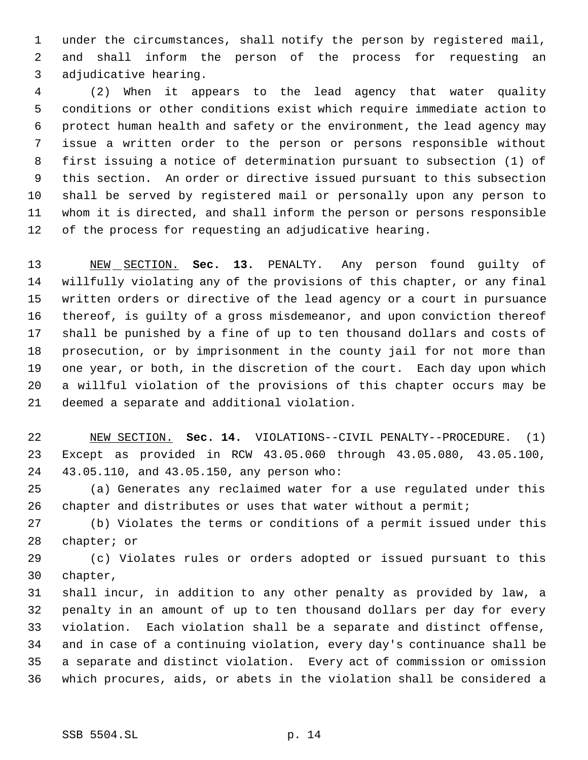under the circumstances, shall notify the person by registered mail, and shall inform the person of the process for requesting an adjudicative hearing.

 (2) When it appears to the lead agency that water quality conditions or other conditions exist which require immediate action to protect human health and safety or the environment, the lead agency may issue a written order to the person or persons responsible without first issuing a notice of determination pursuant to subsection (1) of this section. An order or directive issued pursuant to this subsection shall be served by registered mail or personally upon any person to whom it is directed, and shall inform the person or persons responsible of the process for requesting an adjudicative hearing.

 NEW SECTION. **Sec. 13.** PENALTY. Any person found guilty of willfully violating any of the provisions of this chapter, or any final written orders or directive of the lead agency or a court in pursuance thereof, is guilty of a gross misdemeanor, and upon conviction thereof shall be punished by a fine of up to ten thousand dollars and costs of prosecution, or by imprisonment in the county jail for not more than one year, or both, in the discretion of the court. Each day upon which a willful violation of the provisions of this chapter occurs may be deemed a separate and additional violation.

 NEW SECTION. **Sec. 14.** VIOLATIONS--CIVIL PENALTY--PROCEDURE. (1) Except as provided in RCW 43.05.060 through 43.05.080, 43.05.100, 43.05.110, and 43.05.150, any person who:

 (a) Generates any reclaimed water for a use regulated under this chapter and distributes or uses that water without a permit;

 (b) Violates the terms or conditions of a permit issued under this chapter; or

 (c) Violates rules or orders adopted or issued pursuant to this chapter,

 shall incur, in addition to any other penalty as provided by law, a penalty in an amount of up to ten thousand dollars per day for every violation. Each violation shall be a separate and distinct offense, and in case of a continuing violation, every day's continuance shall be a separate and distinct violation. Every act of commission or omission which procures, aids, or abets in the violation shall be considered a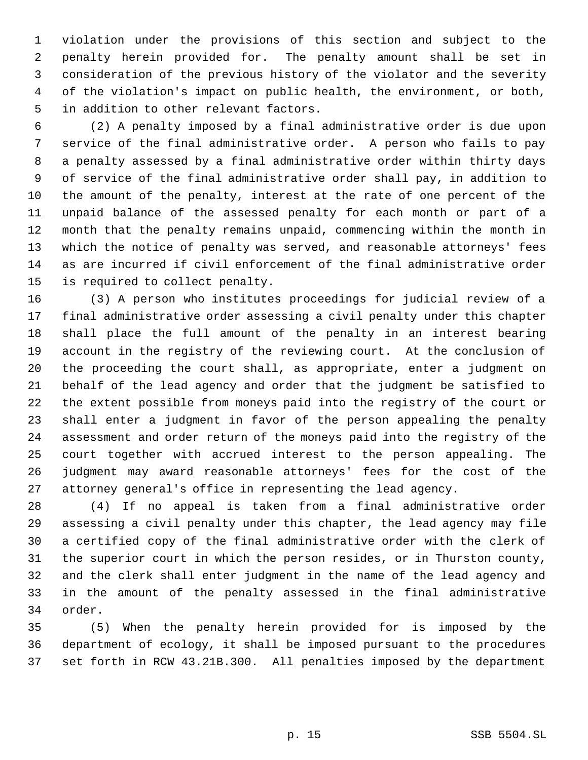violation under the provisions of this section and subject to the penalty herein provided for. The penalty amount shall be set in consideration of the previous history of the violator and the severity of the violation's impact on public health, the environment, or both, in addition to other relevant factors.

 (2) A penalty imposed by a final administrative order is due upon service of the final administrative order. A person who fails to pay a penalty assessed by a final administrative order within thirty days of service of the final administrative order shall pay, in addition to the amount of the penalty, interest at the rate of one percent of the unpaid balance of the assessed penalty for each month or part of a month that the penalty remains unpaid, commencing within the month in which the notice of penalty was served, and reasonable attorneys' fees as are incurred if civil enforcement of the final administrative order is required to collect penalty.

 (3) A person who institutes proceedings for judicial review of a final administrative order assessing a civil penalty under this chapter shall place the full amount of the penalty in an interest bearing account in the registry of the reviewing court. At the conclusion of the proceeding the court shall, as appropriate, enter a judgment on behalf of the lead agency and order that the judgment be satisfied to the extent possible from moneys paid into the registry of the court or shall enter a judgment in favor of the person appealing the penalty assessment and order return of the moneys paid into the registry of the court together with accrued interest to the person appealing. The judgment may award reasonable attorneys' fees for the cost of the attorney general's office in representing the lead agency.

 (4) If no appeal is taken from a final administrative order assessing a civil penalty under this chapter, the lead agency may file a certified copy of the final administrative order with the clerk of the superior court in which the person resides, or in Thurston county, and the clerk shall enter judgment in the name of the lead agency and in the amount of the penalty assessed in the final administrative order.

 (5) When the penalty herein provided for is imposed by the department of ecology, it shall be imposed pursuant to the procedures set forth in RCW 43.21B.300. All penalties imposed by the department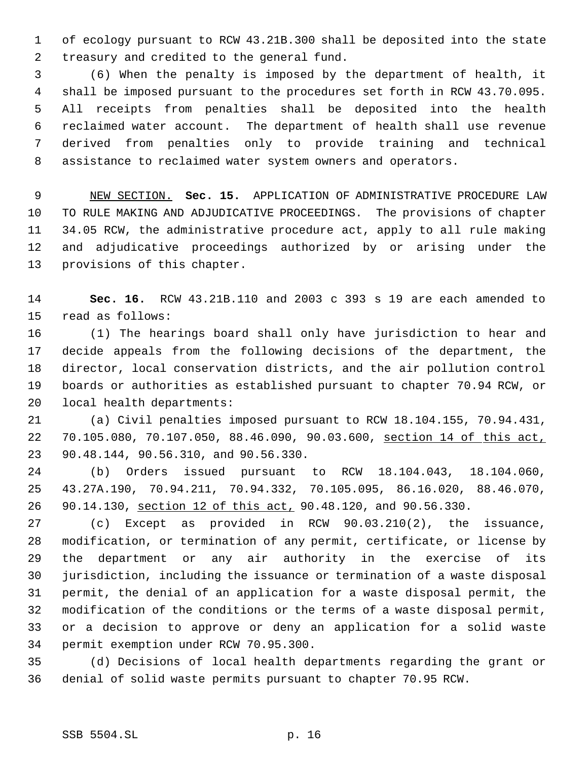of ecology pursuant to RCW 43.21B.300 shall be deposited into the state treasury and credited to the general fund.

 (6) When the penalty is imposed by the department of health, it shall be imposed pursuant to the procedures set forth in RCW 43.70.095. All receipts from penalties shall be deposited into the health reclaimed water account. The department of health shall use revenue derived from penalties only to provide training and technical assistance to reclaimed water system owners and operators.

 NEW SECTION. **Sec. 15.** APPLICATION OF ADMINISTRATIVE PROCEDURE LAW TO RULE MAKING AND ADJUDICATIVE PROCEEDINGS. The provisions of chapter 34.05 RCW, the administrative procedure act, apply to all rule making and adjudicative proceedings authorized by or arising under the provisions of this chapter.

 **Sec. 16.** RCW 43.21B.110 and 2003 c 393 s 19 are each amended to read as follows:

 (1) The hearings board shall only have jurisdiction to hear and decide appeals from the following decisions of the department, the director, local conservation districts, and the air pollution control boards or authorities as established pursuant to chapter 70.94 RCW, or local health departments:

 (a) Civil penalties imposed pursuant to RCW 18.104.155, 70.94.431, 70.105.080, 70.107.050, 88.46.090, 90.03.600, section 14 of this act, 90.48.144, 90.56.310, and 90.56.330.

 (b) Orders issued pursuant to RCW 18.104.043, 18.104.060, 43.27A.190, 70.94.211, 70.94.332, 70.105.095, 86.16.020, 88.46.070, 90.14.130, section 12 of this act, 90.48.120, and 90.56.330.

 (c) Except as provided in RCW 90.03.210(2), the issuance, modification, or termination of any permit, certificate, or license by the department or any air authority in the exercise of its jurisdiction, including the issuance or termination of a waste disposal permit, the denial of an application for a waste disposal permit, the modification of the conditions or the terms of a waste disposal permit, or a decision to approve or deny an application for a solid waste permit exemption under RCW 70.95.300.

 (d) Decisions of local health departments regarding the grant or denial of solid waste permits pursuant to chapter 70.95 RCW.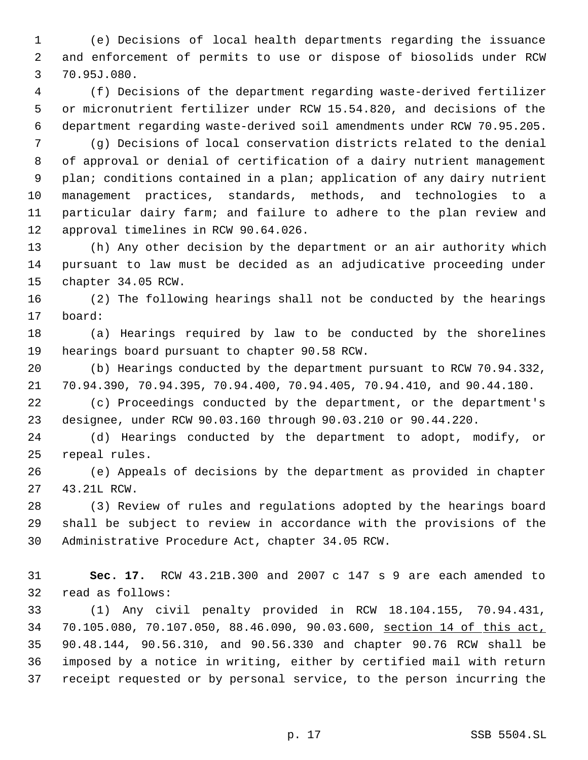(e) Decisions of local health departments regarding the issuance and enforcement of permits to use or dispose of biosolids under RCW 70.95J.080.

 (f) Decisions of the department regarding waste-derived fertilizer or micronutrient fertilizer under RCW 15.54.820, and decisions of the department regarding waste-derived soil amendments under RCW 70.95.205.

 (g) Decisions of local conservation districts related to the denial of approval or denial of certification of a dairy nutrient management plan; conditions contained in a plan; application of any dairy nutrient management practices, standards, methods, and technologies to a particular dairy farm; and failure to adhere to the plan review and approval timelines in RCW 90.64.026.

 (h) Any other decision by the department or an air authority which pursuant to law must be decided as an adjudicative proceeding under chapter 34.05 RCW.

 (2) The following hearings shall not be conducted by the hearings board:

 (a) Hearings required by law to be conducted by the shorelines hearings board pursuant to chapter 90.58 RCW.

 (b) Hearings conducted by the department pursuant to RCW 70.94.332, 70.94.390, 70.94.395, 70.94.400, 70.94.405, 70.94.410, and 90.44.180.

 (c) Proceedings conducted by the department, or the department's designee, under RCW 90.03.160 through 90.03.210 or 90.44.220.

 (d) Hearings conducted by the department to adopt, modify, or repeal rules.

 (e) Appeals of decisions by the department as provided in chapter 43.21L RCW.

 (3) Review of rules and regulations adopted by the hearings board shall be subject to review in accordance with the provisions of the Administrative Procedure Act, chapter 34.05 RCW.

 **Sec. 17.** RCW 43.21B.300 and 2007 c 147 s 9 are each amended to read as follows:

 (1) Any civil penalty provided in RCW 18.104.155, 70.94.431, 70.105.080, 70.107.050, 88.46.090, 90.03.600, section 14 of this act, 90.48.144, 90.56.310, and 90.56.330 and chapter 90.76 RCW shall be imposed by a notice in writing, either by certified mail with return receipt requested or by personal service, to the person incurring the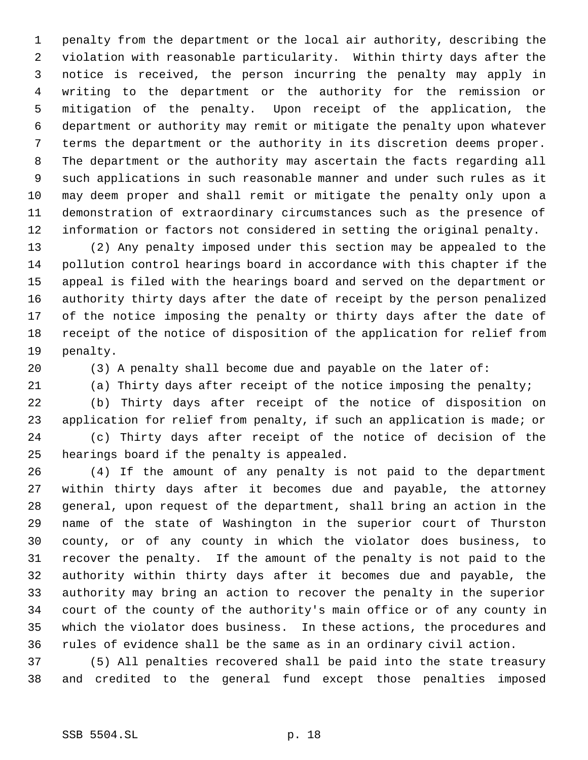penalty from the department or the local air authority, describing the violation with reasonable particularity. Within thirty days after the notice is received, the person incurring the penalty may apply in writing to the department or the authority for the remission or mitigation of the penalty. Upon receipt of the application, the department or authority may remit or mitigate the penalty upon whatever terms the department or the authority in its discretion deems proper. The department or the authority may ascertain the facts regarding all such applications in such reasonable manner and under such rules as it may deem proper and shall remit or mitigate the penalty only upon a demonstration of extraordinary circumstances such as the presence of information or factors not considered in setting the original penalty.

 (2) Any penalty imposed under this section may be appealed to the pollution control hearings board in accordance with this chapter if the appeal is filed with the hearings board and served on the department or authority thirty days after the date of receipt by the person penalized of the notice imposing the penalty or thirty days after the date of receipt of the notice of disposition of the application for relief from penalty.

(3) A penalty shall become due and payable on the later of:

(a) Thirty days after receipt of the notice imposing the penalty;

 (b) Thirty days after receipt of the notice of disposition on application for relief from penalty, if such an application is made; or (c) Thirty days after receipt of the notice of decision of the hearings board if the penalty is appealed.

 (4) If the amount of any penalty is not paid to the department within thirty days after it becomes due and payable, the attorney general, upon request of the department, shall bring an action in the name of the state of Washington in the superior court of Thurston county, or of any county in which the violator does business, to recover the penalty. If the amount of the penalty is not paid to the authority within thirty days after it becomes due and payable, the authority may bring an action to recover the penalty in the superior court of the county of the authority's main office or of any county in which the violator does business. In these actions, the procedures and rules of evidence shall be the same as in an ordinary civil action.

 (5) All penalties recovered shall be paid into the state treasury and credited to the general fund except those penalties imposed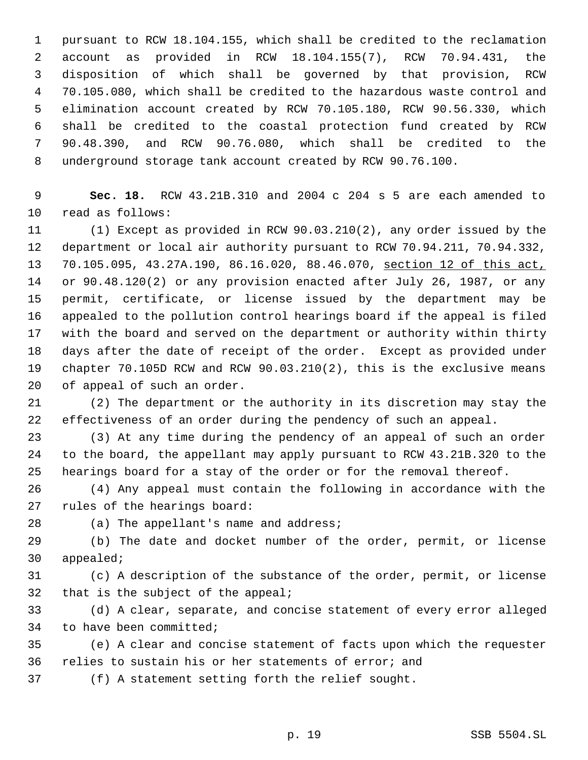pursuant to RCW 18.104.155, which shall be credited to the reclamation account as provided in RCW 18.104.155(7), RCW 70.94.431, the disposition of which shall be governed by that provision, RCW 70.105.080, which shall be credited to the hazardous waste control and elimination account created by RCW 70.105.180, RCW 90.56.330, which shall be credited to the coastal protection fund created by RCW 90.48.390, and RCW 90.76.080, which shall be credited to the underground storage tank account created by RCW 90.76.100.

 **Sec. 18.** RCW 43.21B.310 and 2004 c 204 s 5 are each amended to read as follows:

 (1) Except as provided in RCW 90.03.210(2), any order issued by the department or local air authority pursuant to RCW 70.94.211, 70.94.332, 70.105.095, 43.27A.190, 86.16.020, 88.46.070, section 12 of this act, or 90.48.120(2) or any provision enacted after July 26, 1987, or any permit, certificate, or license issued by the department may be appealed to the pollution control hearings board if the appeal is filed with the board and served on the department or authority within thirty days after the date of receipt of the order. Except as provided under chapter 70.105D RCW and RCW 90.03.210(2), this is the exclusive means of appeal of such an order.

 (2) The department or the authority in its discretion may stay the effectiveness of an order during the pendency of such an appeal.

 (3) At any time during the pendency of an appeal of such an order to the board, the appellant may apply pursuant to RCW 43.21B.320 to the hearings board for a stay of the order or for the removal thereof.

 (4) Any appeal must contain the following in accordance with the rules of the hearings board:

(a) The appellant's name and address;

 (b) The date and docket number of the order, permit, or license appealed;

 (c) A description of the substance of the order, permit, or license that is the subject of the appeal;

 (d) A clear, separate, and concise statement of every error alleged to have been committed;

 (e) A clear and concise statement of facts upon which the requester relies to sustain his or her statements of error; and

(f) A statement setting forth the relief sought.